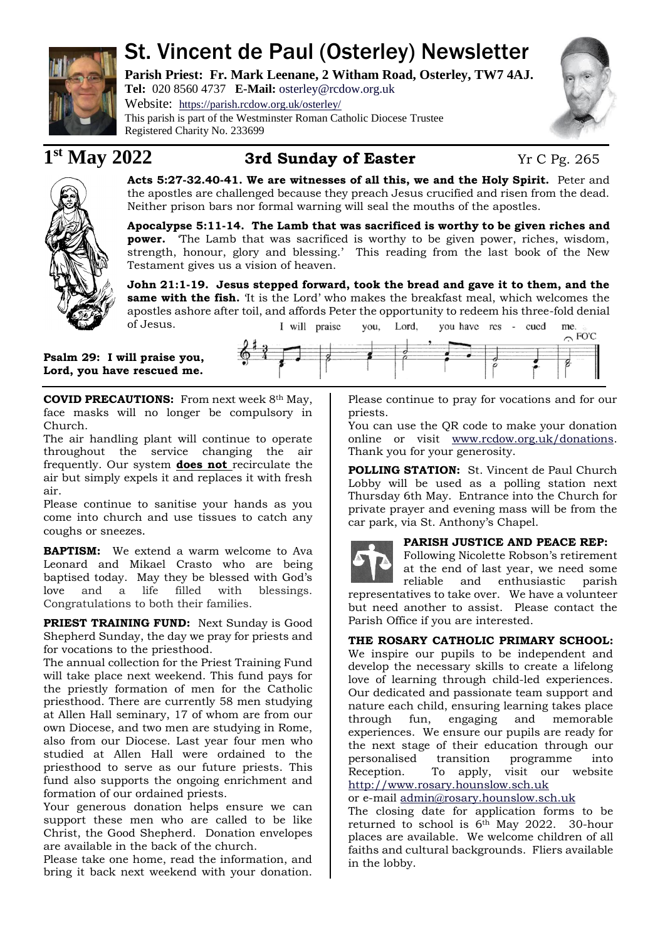

# St. Vincent de Paul (Osterley) Newsletter

**Parish Priest: Fr. Mark Leenane, 2 Witham Road, Osterley, TW7 4AJ. Tel:** 020 8560 4737 **E-Mail:** [osterley@rcdow.org.uk](mailto:osterley@rcdow.org.uk)

Website: <https://parish.rcdow.org.uk/osterley/> This parish is part of the Westminster Roman Catholic Diocese Trustee Registered Charity No. 233699



# $1<sup>st</sup>$  May 2022

## **3rd Sunday of Easter Yr C Pg. 265**



**Acts 5:27-32.40-41. We are witnesses of all this, we and the Holy Spirit.** Peter and the apostles are challenged because they preach Jesus crucified and risen from the dead. Neither prison bars nor formal warning will seal the mouths of the apostles.

**Apocalypse 5:11-14. The Lamb that was sacrificed is worthy to be given riches and power.** 'The Lamb that was sacrificed is worthy to be given power, riches, wisdom, strength, honour, glory and blessing.' This reading from the last book of the New Testament gives us a vision of heaven.

**John 21:1-19. Jesus stepped forward, took the bread and gave it to them, and the same with the fish.** 'It is the Lord' who makes the breakfast meal, which welcomes the apostles ashore after toil, and affords Peter the opportunity to redeem his three-fold denial of Jesus. I will praise vou, Lord, you have res - cued me.  $\sim$  FO'C

**Psalm 29: I will praise you, Lord, you have rescued me.**

**COVID PRECAUTIONS:** From next week 8th May, face masks will no longer be compulsory in Church.

The air handling plant will continue to operate throughout the service changing the air frequently. Our system **does not** recirculate the air but simply expels it and replaces it with fresh air.

Please continue to sanitise your hands as you come into church and use tissues to catch any coughs or sneezes.

**BAPTISM:** We extend a warm welcome to Ava Leonard and Mikael Crasto who are being baptised today. May they be blessed with God's love and a life filled with blessings. Congratulations to both their families.

**PRIEST TRAINING FUND:** Next Sunday is Good Shepherd Sunday, the day we pray for priests and for vocations to the priesthood.

The annual collection for the Priest Training Fund will take place next weekend. This fund pays for the priestly formation of men for the Catholic priesthood. There are currently 58 men studying at Allen Hall seminary, 17 of whom are from our own Diocese, and two men are studying in Rome, also from our Diocese. Last year four men who studied at Allen Hall were ordained to the priesthood to serve as our future priests. This fund also supports the ongoing enrichment and formation of our ordained priests.

Your generous donation helps ensure we can support these men who are called to be like Christ, the Good Shepherd. Donation envelopes are available in the back of the church.

Please take one home, read the information, and bring it back next weekend with your donation.

Please continue to pray for vocations and for our priests.

You can use the QR code to make your donation online or visit [www.rcdow.org.uk/donations.](http://www.rcdow.org.uk/donations) Thank you for your generosity.

**POLLING STATION:** St. Vincent de Paul Church Lobby will be used as a polling station next Thursday 6th May. Entrance into the Church for private prayer and evening mass will be from the car park, via St. Anthony's Chapel.

### **PARISH JUSTICE AND PEACE REP:**

Following Nicolette Robson's retirement at the end of last year, we need some reliable and enthusiastic parish

representatives to take over. We have a volunteer but need another to assist. Please contact the Parish Office if you are interested.

### **THE ROSARY CATHOLIC PRIMARY SCHOOL:**

We inspire our pupils to be independent and develop the necessary skills to create a lifelong love of learning through child-led experiences. Our dedicated and passionate team support and nature each child, ensuring learning takes place through fun, engaging and memorable experiences. We ensure our pupils are ready for the next stage of their education through our personalised transition programme into Reception. To apply, visit our website [http://www.rosary.hounslow.sch.uk](http://www.rosary.hounslow.sch.uk/)

or e-mail [admin@rosary.hounslow.sch.uk](mailto:admin@rosary.hounslow.sch.uk)

The closing date for application forms to be returned to school is 6th May 2022. 30-hour places are available. We welcome children of all faiths and cultural backgrounds. Fliers available in the lobby.